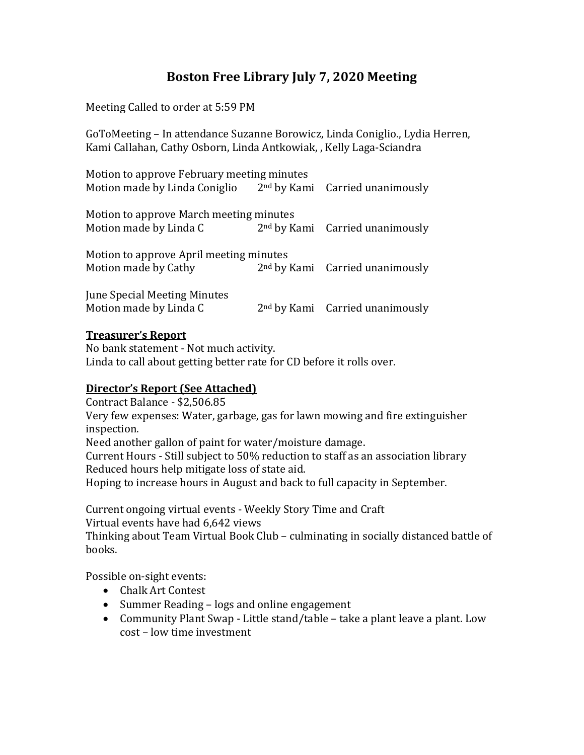# **Boston Free Library July 7, 2020 Meeting**

Meeting Called to order at 5:59 PM

GoToMeeting – In attendance Suzanne Borowicz, Linda Coniglio., Lydia Herren, Kami Callahan, Cathy Osborn, Linda Antkowiak, , Kelly Laga-Sciandra

Motion to approve February meeting minutes Motion made by Linda Coniglio 2<sup>nd</sup> by Kami Carried unanimously

Motion to approve March meeting minutes Motion made by Linda C  $2<sup>nd</sup>$  by Kami Carried unanimously

| Motion to approve April meeting minutes |                                   |
|-----------------------------------------|-----------------------------------|
| Motion made by Cathy                    | $2nd$ by Kami Carried unanimously |
| June Special Meeting Minutes            |                                   |

Motion made by Linda C  $2<sup>nd</sup>$  by Kami Carried unanimously

### **Treasurer's Report**

No bank statement - Not much activity. Linda to call about getting better rate for CD before it rolls over.

## **Director's Report (See Attached)**

Contract Balance - \$2,506.85

Very few expenses: Water, garbage, gas for lawn mowing and fire extinguisher inspection.

Need another gallon of paint for water/moisture damage.

Current Hours - Still subject to 50% reduction to staff as an association library Reduced hours help mitigate loss of state aid.

Hoping to increase hours in August and back to full capacity in September.

Current ongoing virtual events - Weekly Story Time and Craft

Virtual events have had 6,642 views

Thinking about Team Virtual Book Club – culminating in socially distanced battle of books.

Possible on-sight events:

- Chalk Art Contest
- Summer Reading logs and online engagement
- Community Plant Swap Little stand/table take a plant leave a plant. Low cost – low time investment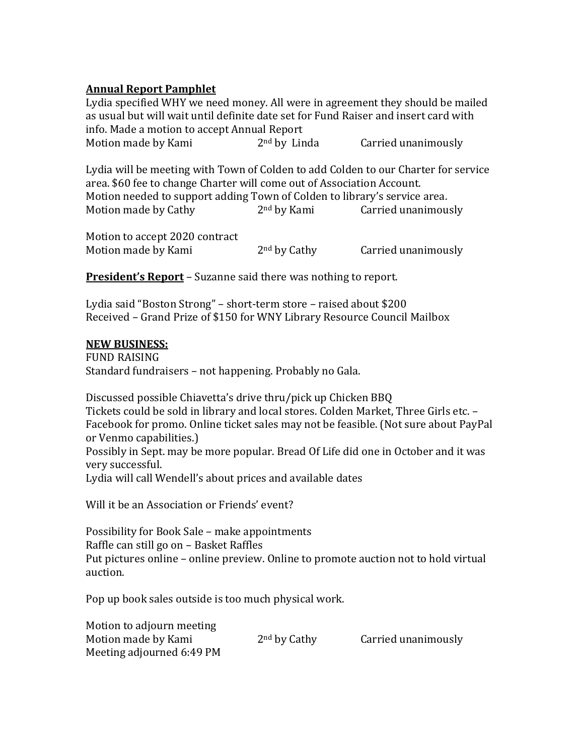## **Annual Report Pamphlet**

Lydia specified WHY we need money. All were in agreement they should be mailed as usual but will wait until definite date set for Fund Raiser and insert card with info. Made a motion to accept Annual Report Motion made by Kami 2<sup>nd</sup> by Linda Carried unanimously

Lydia will be meeting with Town of Colden to add Colden to our Charter for service area. \$60 fee to change Charter will come out of Association Account. Motion needed to support adding Town of Colden to library's service area. Motion made by Cathy 2<sup>nd</sup> by Kami Carried unanimously

Motion to accept 2020 contract Motion made by Kami 2<sup>nd</sup> by Cathy Carried unanimously

**President's Report** – Suzanne said there was nothing to report.

Lydia said "Boston Strong" – short-term store – raised about \$200 Received – Grand Prize of \$150 for WNY Library Resource Council Mailbox

### **NEW BUSINESS:**

FUND RAISING Standard fundraisers – not happening. Probably no Gala.

Discussed possible Chiavetta's drive thru/pick up Chicken BBQ Tickets could be sold in library and local stores. Colden Market, Three Girls etc. – Facebook for promo. Online ticket sales may not be feasible. (Not sure about PayPal or Venmo capabilities.) Possibly in Sept. may be more popular. Bread Of Life did one in October and it was very successful.

Lydia will call Wendell's about prices and available dates

Will it be an Association or Friends' event?

Possibility for Book Sale – make appointments Raffle can still go on – Basket Raffles Put pictures online – online preview. Online to promote auction not to hold virtual auction.

Pop up book sales outside is too much physical work.

| Motion to adjourn meeting |                          |                     |
|---------------------------|--------------------------|---------------------|
| Motion made by Kami       | 2 <sup>nd</sup> by Cathy | Carried unanimously |
| Meeting adjourned 6:49 PM |                          |                     |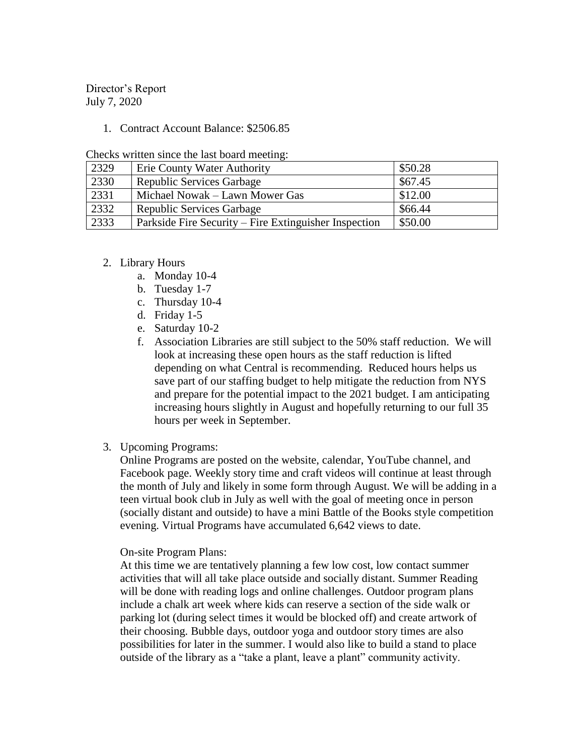Director's Report July 7, 2020

#### 1. Contract Account Balance: \$2506.85

|  |  |  |  |  |  |  | Checks written since the last board meeting: |
|--|--|--|--|--|--|--|----------------------------------------------|
|--|--|--|--|--|--|--|----------------------------------------------|

| 2329 | Erie County Water Authority                           | \$50.28 |
|------|-------------------------------------------------------|---------|
| 2330 | <b>Republic Services Garbage</b>                      | \$67.45 |
| 2331 | Michael Nowak – Lawn Mower Gas                        | \$12.00 |
| 2332 | <b>Republic Services Garbage</b>                      | \$66.44 |
| 2333 | Parkside Fire Security – Fire Extinguisher Inspection | \$50.00 |

#### 2. Library Hours

- a. Monday 10-4
- b. Tuesday 1-7
- c. Thursday 10-4
- d. Friday 1-5
- e. Saturday 10-2
- f. Association Libraries are still subject to the 50% staff reduction. We will look at increasing these open hours as the staff reduction is lifted depending on what Central is recommending. Reduced hours helps us save part of our staffing budget to help mitigate the reduction from NYS and prepare for the potential impact to the 2021 budget. I am anticipating increasing hours slightly in August and hopefully returning to our full 35 hours per week in September.
- 3. Upcoming Programs:

Online Programs are posted on the website, calendar, YouTube channel, and Facebook page. Weekly story time and craft videos will continue at least through the month of July and likely in some form through August. We will be adding in a teen virtual book club in July as well with the goal of meeting once in person (socially distant and outside) to have a mini Battle of the Books style competition evening. Virtual Programs have accumulated 6,642 views to date.

#### On-site Program Plans:

At this time we are tentatively planning a few low cost, low contact summer activities that will all take place outside and socially distant. Summer Reading will be done with reading logs and online challenges. Outdoor program plans include a chalk art week where kids can reserve a section of the side walk or parking lot (during select times it would be blocked off) and create artwork of their choosing. Bubble days, outdoor yoga and outdoor story times are also possibilities for later in the summer. I would also like to build a stand to place outside of the library as a "take a plant, leave a plant" community activity.